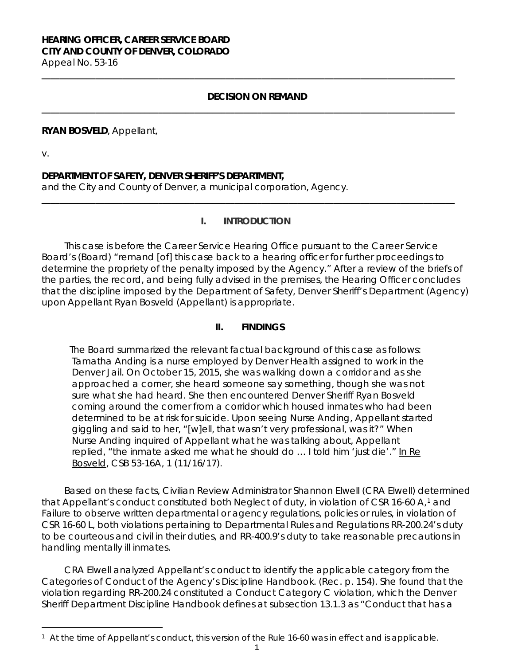# **HEARING OFFICER, CAREER SERVICE BOARD CITY AND COUNTY OF DENVER, COLORADO**

Appeal No. 53-16 **\_\_\_\_\_\_\_\_\_\_\_\_\_\_\_\_\_\_\_\_\_\_\_\_\_\_\_\_\_\_\_\_\_\_\_\_\_\_\_\_\_\_\_\_\_\_\_\_\_\_\_\_\_\_\_\_\_\_\_\_\_\_\_\_\_\_\_\_\_\_\_\_\_\_\_\_\_\_\_\_\_\_\_\_\_\_\_\_\_\_\_\_**

## **DECISION ON REMAND**

**\_\_\_\_\_\_\_\_\_\_\_\_\_\_\_\_\_\_\_\_\_\_\_\_\_\_\_\_\_\_\_\_\_\_\_\_\_\_\_\_\_\_\_\_\_\_\_\_\_\_\_\_\_\_\_\_\_\_\_\_\_\_\_\_\_\_\_\_\_\_\_\_\_\_\_\_\_\_\_\_\_\_\_\_\_\_\_\_\_\_\_\_**

### **RYAN BOSVELD**, Appellant,

v.

### **DEPARTMENT OF SAFETY, DENVER SHERIFF'S DEPARTMENT,**

and the City and County of Denver, a municipal corporation, Agency.

### **I. INTRODUCTION**

**\_\_\_\_\_\_\_\_\_\_\_\_\_\_\_\_\_\_\_\_\_\_\_\_\_\_\_\_\_\_\_\_\_\_\_\_\_\_\_\_\_\_\_\_\_\_\_\_\_\_\_\_\_\_\_\_\_\_\_\_\_\_\_\_\_\_\_\_\_\_\_\_\_\_\_\_\_\_\_\_\_\_\_\_\_\_\_\_\_\_\_\_**

This case is before the Career Service Hearing Office pursuant to the Career Service Board's (Board) "remand [of] this case back to a hearing officer for further proceedings to determine the propriety of the penalty imposed by the Agency." After a review of the briefs of the parties, the record, and being fully advised in the premises, the Hearing Officer concludes that the discipline imposed by the Department of Safety, Denver Sheriff's Department (Agency) upon Appellant Ryan Bosveld (Appellant) is appropriate.

## **II. FINDINGS**

 The Board summarized the relevant factual background of this case as follows: Tamatha Anding is a nurse employed by Denver Health assigned to work in the Denver Jail. On October 15, 2015, she was walking down a corridor and as she approached a corner, she heard someone say something, though she was not sure what she had heard. She then encountered Denver Sheriff Ryan Bosveld coming around the corner from a corridor which housed inmates who had been determined to be at risk for suicide. Upon seeing Nurse Anding, Appellant started giggling and said to her, "[w]ell, that wasn't very professional, was it?" When Nurse Anding inquired of Appellant what he was talking about, Appellant replied, "the inmate asked me what he should do ... I told him 'just die'." In Re Bosveld, CSB 53-16A, 1 (11/16/17).

Based on these facts, Civilian Review Administrator Shannon Elwell (CRA Elwell) determined that Appellant's conduct constituted both Neglect of duty, in violation of CSR [1](#page-0-0)6-60 A,<sup>1</sup> and Failure to observe written departmental or agency regulations, policies or rules, in violation of CSR 16-60 L, both violations pertaining to Departmental Rules and Regulations RR-200.24's duty to be courteous and civil in their duties, and RR-400.9's duty to take reasonable precautions in handling mentally ill inmates.

CRA Elwell analyzed Appellant's conduct to identify the applicable category from the Categories of Conduct of the Agency's Discipline Handbook. (Rec. p. 154). She found that the violation regarding RR-200.24 constituted a Conduct Category C violation, which the Denver Sheriff Department Discipline Handbook defines at subsection 13.1.3 as "Conduct that has a

<span id="page-0-0"></span><sup>÷,</sup> <sup>1</sup> At the time of Appellant's conduct, this version of the Rule 16-60 was in effect and is applicable.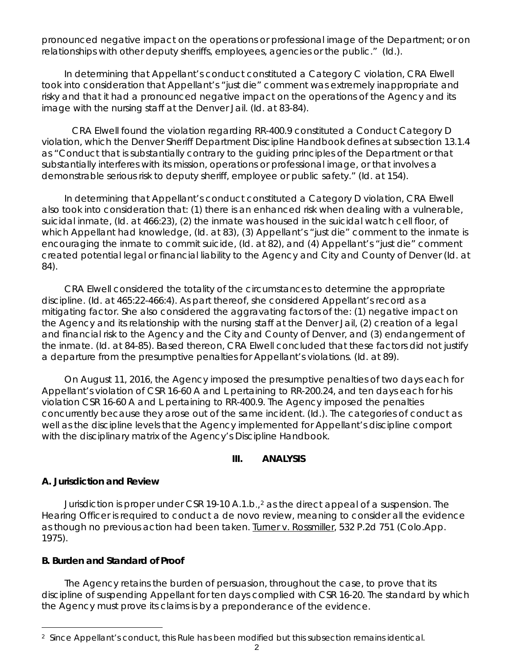pronounced negative impact on the operations or professional image of the Department; or on relationships with other deputy sheriffs, employees, agencies or the public." (*Id.*).

In determining that Appellant's conduct constituted a Category C violation, CRA Elwell took into consideration that Appellant's "just die" comment was extremely inappropriate and risky and that it had a pronounced negative impact on the operations of the Agency and its image with the nursing staff at the Denver Jail. (*Id.* at 83-84).

 CRA Elwell found the violation regarding RR-400.9 constituted a Conduct Category D violation, which the Denver Sheriff Department Discipline Handbook defines at subsection 13.1.4 as "Conduct that is substantially contrary to the guiding principles of the Department or that substantially interferes with its mission, operations or professional image, or that involves a demonstrable serious risk to deputy sheriff, employee or public safety." (*Id.* at 154).

In determining that Appellant's conduct constituted a Category D violation, CRA Elwell also took into consideration that: (1) there is an enhanced risk when dealing with a vulnerable, suicidal inmate, (*Id.* at 466:23), (2) the inmate was housed in the suicidal watch cell floor, of which Appellant had knowledge, (*Id.* at 83), (3) Appellant's "just die" comment to the inmate is encouraging the inmate to commit suicide, (*Id.* at 82), and (4) Appellant's "just die" comment created potential legal or financial liability to the Agency and City and County of Denver (*Id.* at 84).

CRA Elwell considered the totality of the circumstances to determine the appropriate discipline. (*Id.* at 465:22-466:4). As part thereof, she considered Appellant's record as a mitigating factor. She also considered the aggravating factors of the: (1) negative impact on the Agency and its relationship with the nursing staff at the Denver Jail, (2) creation of a legal and financial risk to the Agency and the City and County of Denver, and (3) endangerment of the inmate. (*Id.* at 84-85). Based thereon, CRA Elwell concluded that these factors did not justify a departure from the presumptive penalties for Appellant's violations. (*Id.* at 89).

On August 11, 2016, the Agency imposed the presumptive penalties of two days each for Appellant's violation of CSR 16-60 A and L pertaining to RR-200.24, and ten days each for his violation CSR 16-60 A and L pertaining to RR-400.9. The Agency imposed the penalties concurrently because they arose out of the same incident. (*Id*.). The categories of conduct as well as the discipline levels that the Agency implemented for Appellant's discipline comport with the disciplinary matrix of the Agency's Discipline Handbook.

### **III. ANALYSIS**

### **A. Jurisdiction and Review**

Jurisdiction is proper under CSR 19-10 A.1.b.,  $\frac{2}{3}$  $\frac{2}{3}$  $\frac{2}{3}$  as the direct appeal of a suspension. The Hearing Officer is required to conduct a *de novo* review, meaning to consider all the evidence as though no previous action had been taken. Turner v. Rossmiller, 532 P.2d 751 (Colo.App. 1975).

### **B. Burden and Standard of Proof**

The Agency retains the burden of persuasion, throughout the case, to prove that its discipline of suspending Appellant for ten days complied with CSR 16-20. The standard by which the Agency must prove its claims is by a preponderance of the evidence.

<span id="page-1-0"></span><sup>÷,</sup> <sup>2</sup> Since Appellant's conduct, this Rule has been modified but this subsection remains identical.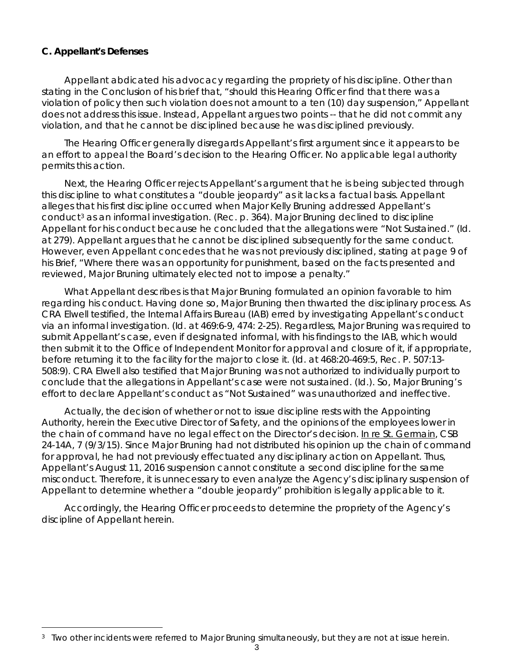# **C. Appellant's Defenses**

Appellant abdicated his advocacy regarding the propriety of his discipline. Other than stating in the Conclusion of his brief that, "should this Hearing Officer find that there was a violation of policy then such violation does not amount to a ten (10) day suspension," Appellant does not address this issue. Instead, Appellant argues two points -- that he did not commit any violation, and that he cannot be disciplined because he was disciplined previously.

The Hearing Officer generally disregards Appellant's first argument since it appears to be an effort to appeal the Board's decision to the Hearing Officer. No applicable legal authority permits this action.

Next, the Hearing Officer rejects Appellant's argument that he is being subjected through this discipline to what constitutes a "double jeopardy" as it lacks a factual basis. Appellant alleges that his first discipline occurred when Major Kelly Bruning addressed Appellant's conduct[3](#page-2-0) as an informal investigation. (Rec. p. 364). Major Bruning declined to discipline Appellant for his conduct because he concluded that the allegations were "Not Sustained." (*Id.* at 279). Appellant argues that he cannot be disciplined subsequently for the same conduct. However, even Appellant concedes that he was not previously disciplined, stating at page 9 of his Brief, "Where there was an opportunity for punishment, based on the facts presented and reviewed, Major Bruning ultimately elected not to impose a penalty."

What Appellant describes is that Major Bruning formulated an opinion favorable to him regarding his conduct. Having done so, Major Bruning then thwarted the disciplinary process. As CRA Elwell testified, the Internal Affairs Bureau (IAB) erred by investigating Appellant's conduct via an informal investigation. (*Id.* at 469:6-9, 474: 2-25). Regardless, Major Bruning was required to submit Appellant's case, even if designated informal, with his findings to the IAB, which would then submit it to the Office of Independent Monitor for approval and closure of it, if appropriate, before returning it to the facility for the major to close it. (*Id.* at 468:20-469:5, Rec. P. 507:13- 508:9). CRA Elwell also testified that Major Bruning was not authorized to individually purport to conclude that the allegations in Appellant's case were not sustained. (*Id*.). So, Major Bruning's effort to declare Appellant's conduct as "Not Sustained" was unauthorized and ineffective.

Actually, the decision of whether or not to issue discipline rests with the Appointing Authority, herein the Executive Director of Safety, and the opinions of the employees lower in the chain of command have no legal effect on the Director's decision. In re St. Germain, CSB 24-14A, 7 (9/3/15). Since Major Bruning had not distributed his opinion up the chain of command for approval, he had not previously effectuated any disciplinary action on Appellant. Thus, Appellant's August 11, 2016 suspension cannot constitute a second discipline for the same misconduct. Therefore, it is unnecessary to even analyze the Agency's disciplinary suspension of Appellant to determine whether a "double jeopardy" prohibition is legally applicable to it.

Accordingly, the Hearing Officer proceeds to determine the propriety of the Agency's discipline of Appellant herein.

<span id="page-2-0"></span><sup>÷,</sup> 3 Two other incidents were referred to Major Bruning simultaneously, but they are not at issue herein.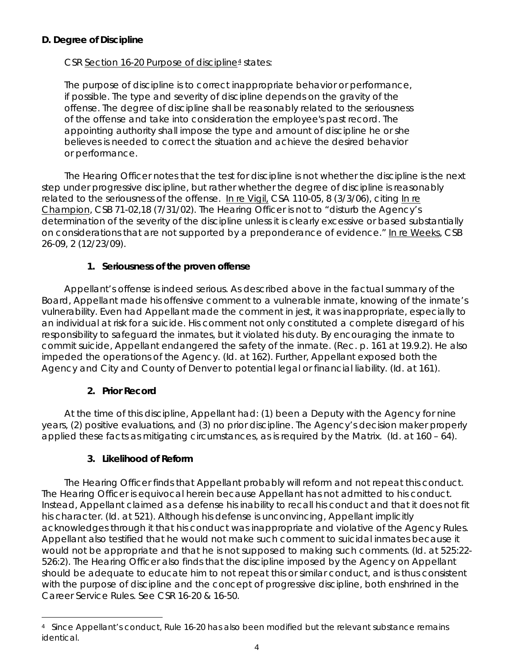# **D. Degree of Discipline**

# CSR Section 16-20 Purpose of disciplin[e4](#page-3-0) states*:*

The purpose of discipline is to correct inappropriate behavior or performance, if possible. The type and severity of discipline depends on the gravity of the offense. The degree of discipline shall be reasonably related to the seriousness of the offense and take into consideration the employee's past record. The appointing authority shall impose the type and amount of discipline he or she believes is needed to correct the situation and achieve the desired behavior or performance.

The Hearing Officer notes that the test for discipline is not whether the discipline is the next step under progressive discipline, but rather whether the degree of discipline is reasonably related to the seriousness of the offense. [In re Vigil,](https://www.denvergov.org/content/dam/denvergov/Portals/hearings_office/documents/Hearings/Vigil_Marlene_110-05_Decision.pdf) CSA 110-05, 8 (3/3/06), *citing* [In re](https://www.denvergov.org/content/dam/denvergov/Portals/hearings_office/documents/Hearings/Champion_Marvin_F_71-02_Findings_of_Fact_Conclusions_of_Law_and_Order.pdf)  [Champion,](https://www.denvergov.org/content/dam/denvergov/Portals/hearings_office/documents/Hearings/Champion_Marvin_F_71-02_Findings_of_Fact_Conclusions_of_Law_and_Order.pdf) CSB 71-02,18 (7/31/02). The Hearing Officer is not to "disturb the Agency's determination of the severity of the discipline unless it is clearly excessive or based substantially on considerations that are not supported by a preponderance of evidence." In re Weeks, CSB 26-09, 2 (12/23/09).

# **1. Seriousness of the proven offense**

Appellant's offense is indeed serious. As described above in the factual summary of the Board, Appellant made his offensive comment to a vulnerable inmate, knowing of the inmate's vulnerability. Even had Appellant made the comment in jest, it was inappropriate, especially to an individual at risk for a suicide. His comment not only constituted a complete disregard of his responsibility to safeguard the inmates, but it violated his duty. By encouraging the inmate to commit suicide, Appellant endangered the safety of the inmate. (Rec. p. 161 at 19.9.2). He also impeded the operations of the Agency. (*Id.* at 162). Further, Appellant exposed both the Agency and City and County of Denver to potential legal or financial liability. (*Id.* at 161).

# **2. Prior Record**

At the time of this discipline, Appellant had: (1) been a Deputy with the Agency for nine years, (2) positive evaluations, and (3) no prior discipline. The Agency's decision maker properly applied these facts as mitigating circumstances, as is required by the Matrix. (*Id.* at 160 – 64).

# **3. Likelihood of Reform**

The Hearing Officer finds that Appellant probably will reform and not repeat this conduct. The Hearing Officer is equivocal herein because Appellant has not admitted to his conduct. Instead, Appellant claimed as a defense his inability to recall his conduct and that it does not fit his character. (*Id.* at 521). Although his defense is unconvincing, Appellant implicitly acknowledges through it that his conduct was inappropriate and violative of the Agency Rules. Appellant also testified that he would not make such comment to suicidal inmates because it would not be appropriate and that he is not supposed to making such comments. (*Id*. at 525:22- 526:2). The Hearing Officer also finds that the discipline imposed by the Agency on Appellant should be adequate to educate him to not repeat this or similar conduct, and is thus consistent with the purpose of discipline and the concept of progressive discipline, both enshrined in the Career Service Rules. *See* CSR 16-20 & 16-50.

<span id="page-3-0"></span><sup>÷,</sup> 4 Since Appellant's conduct, Rule 16-20 has also been modified but the relevant substance remains identical.